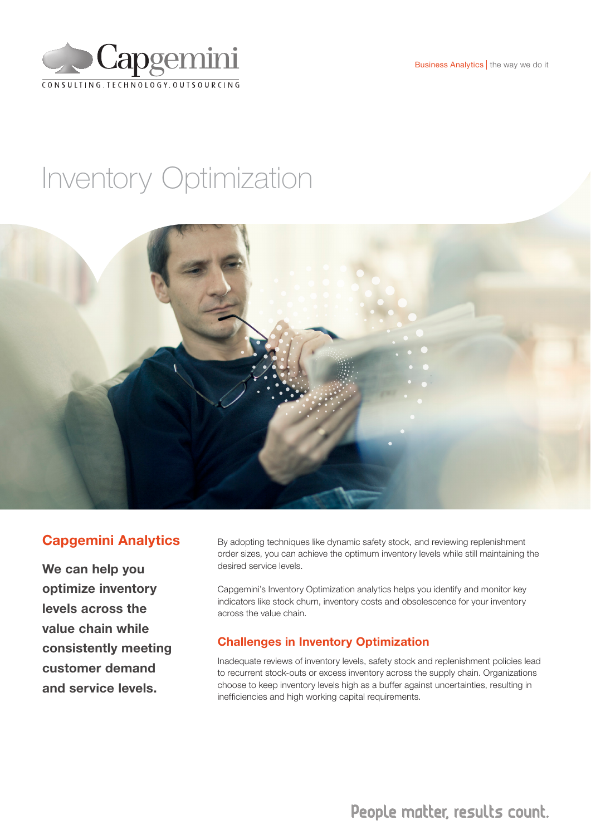Business Analytics | the way we do it



# Inventory Optimization



## Capgemini Analytics

We can help you optimize inventory levels across the value chain while consistently meeting customer demand and service levels.

By adopting techniques like dynamic safety stock, and reviewing replenishment order sizes, you can achieve the optimum inventory levels while still maintaining the desired service levels.

Capgemini's Inventory Optimization analytics helps you identify and monitor key indicators like stock churn, inventory costs and obsolescence for your inventory across the value chain.

#### Challenges in Inventory Optimization

Inadequate reviews of inventory levels, safety stock and replenishment policies lead to recurrent stock-outs or excess inventory across the supply chain. Organizations choose to keep inventory levels high as a buffer against uncertainties, resulting in inefficiencies and high working capital requirements.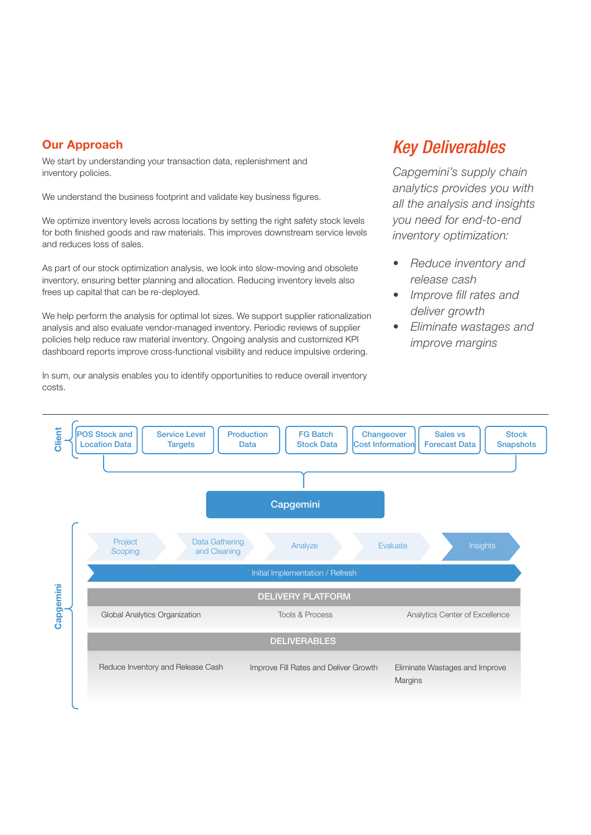#### Our Approach

We start by understanding your transaction data, replenishment and inventory policies.

We understand the business footprint and validate key business figures.

We optimize inventory levels across locations by setting the right safety stock levels for both finished goods and raw materials. This improves downstream service levels and reduces loss of sales.

As part of our stock optimization analysis, we look into slow-moving and obsolete inventory, ensuring better planning and allocation. Reducing inventory levels also frees up capital that can be re-deployed.

We help perform the analysis for optimal lot sizes. We support supplier rationalization analysis and also evaluate vendor-managed inventory. Periodic reviews of supplier policies help reduce raw material inventory. Ongoing analysis and customized KPI dashboard reports improve cross-functional visibility and reduce impulsive ordering.

In sum, our analysis enables you to identify opportunities to reduce overall inventory costs.

## *Key Deliverables*

*Capgemini's supply chain analytics provides you with all the analysis and insights you need for end-to-end inventory optimization:*

- *• Reduce inventory and release cash*
- *• Improve fill rates and deliver growth*
- *• Eliminate wastages and improve margins*

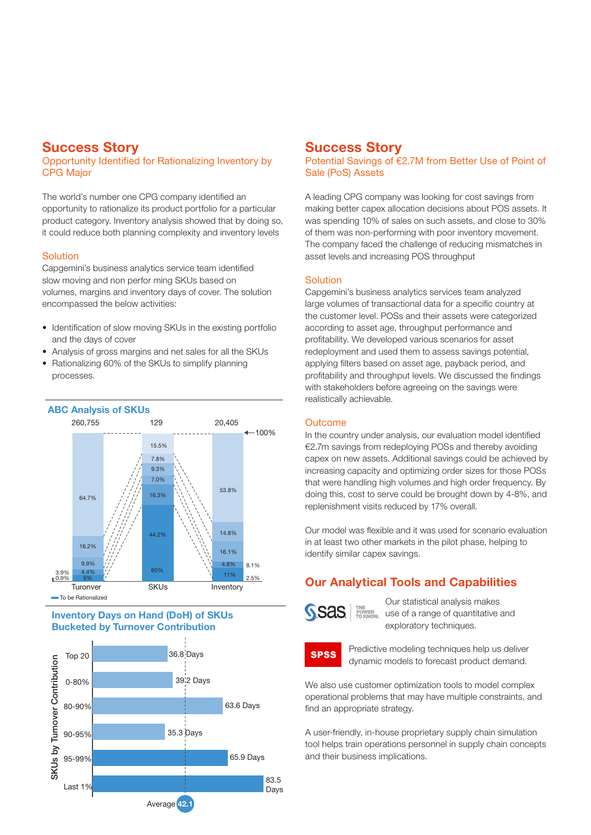## Success Story

#### Opportunity Identified for Rationalizing Inventory by CPG Major

The world's number one CPG company identified an opportunity to rationalize its product portfolio for a particular product category. Inventory analysis showed that by doing so, it could reduce both planning complexity and inventory levels

#### **Solution**

Capgemini's business analytics service team identified slow moving and non perfor ming SKUs based on volumes, margins and inventory days of cover. The solution encompassed the below activities:

- Identification of slow moving SKUs in the existing portfolio and the days of cover
- Analysis of gross margins and net sales for all the SKUs
- Rationalizing 60% of the SKUs to simplify planning processes.



#### Inventory Days on Hand (DoH) of SKUs Bucketed by Turnover Contribution



## Success Story

Potential Savings of €2.7M from Better Use of Point of Sale (PoS) Assets

A leading CPG company was looking for cost savings from making better capex allocation decisions about POS assets. It was spending 10% of sales on such assets, and close to 30% of them was non-performing with poor inventory movement. The company faced the challenge of reducing mismatches in asset levels and increasing POS throughput

#### Solution

Capgemini's business analytics services team analyzed large volumes of transactional data for a specific country at the customer level. POSs and their assets were categorized according to asset age, throughput performance and profitability. We developed various scenarios for asset redeployment and used them to assess savings potential, applying filters based on asset age, payback period, and profitability and throughput levels. We discussed the findings with stakeholders before agreeing on the savings were realistically achievable.

#### **Outcome**

In the country under analysis, our evaluation model identified €2.7m savings from redeploying POSs and thereby avoiding capex on new assets. Additional savings could be achieved by increasing capacity and optimizing order sizes for those POSs that were handling high volumes and high order frequency. By doing this, cost to serve could be brought down by 4-8%, and replenishment visits reduced by 17% overall.

Our model was flexible and it was used for scenario evaluation in at least two other markets in the pilot phase, helping to identify similar capex savings.

## Our Analytical Tools and Capabilities



Our statistical analysis makes use of a range of quantitative and exploratory techniques.



Predictive modeling techniques help us deliver dynamic models to forecast product demand.

We also use customer optimization tools to model complex operational problems that may have multiple constraints, and find an appropriate strategy.

A user-friendly, in-house proprietary supply chain simulation tool helps train operations personnel in supply chain concepts and their business implications.